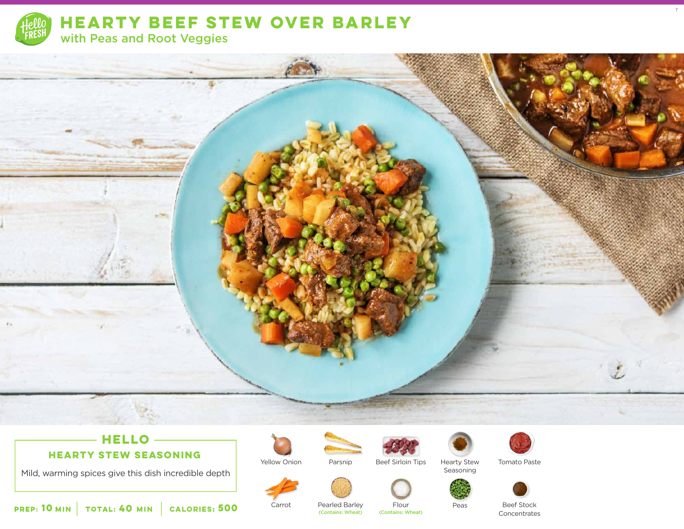



# **HELLO**

**HEARTY STEW SEASONING**

Mild, warming spices give this dish incredible depth



Carrot





Hearty Stew Seasoning



Tomato Paste

7



 **10** MIN | TOTAL: **40** MIN | CALORIES:

Pearled Barley<br>(Contains: Wheat) **500** Carrot Pearled Barley Flour Peas<br>Contains: Wheat) (Contains: Wheat)

Beef Stock **Concentrates**